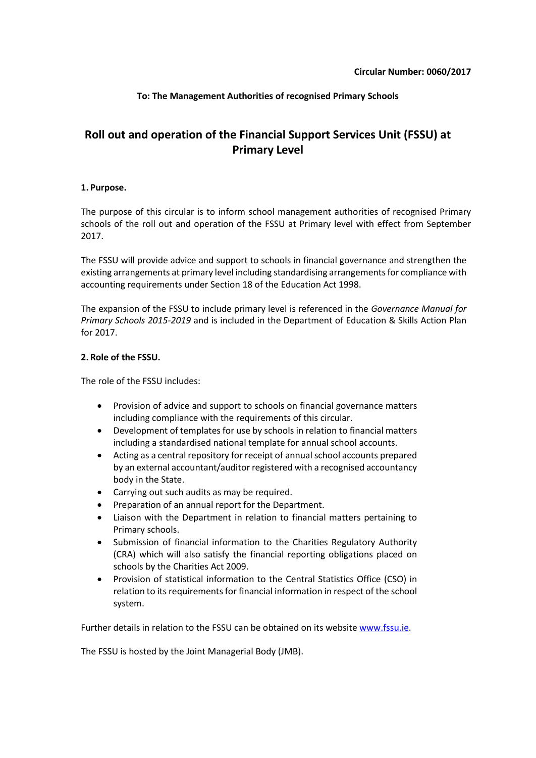## **To: The Management Authorities of recognised Primary Schools**

# **Roll out and operation of the Financial Support Services Unit (FSSU) at Primary Level**

#### **1. Purpose.**

The purpose of this circular is to inform school management authorities of recognised Primary schools of the roll out and operation of the FSSU at Primary level with effect from September 2017.

The FSSU will provide advice and support to schools in financial governance and strengthen the existing arrangements at primary level including standardising arrangements for compliance with accounting requirements under Section 18 of the Education Act 1998.

The expansion of the FSSU to include primary level is referenced in the *Governance Manual for Primary Schools 2015-2019* and is included in the Department of Education & Skills Action Plan for 2017.

#### **2. Role of the FSSU.**

The role of the FSSU includes:

- Provision of advice and support to schools on financial governance matters including compliance with the requirements of this circular.
- Development of templates for use by schools in relation to financial matters including a standardised national template for annual school accounts.
- Acting as a central repository for receipt of annual school accounts prepared by an external accountant/auditor registered with a recognised accountancy body in the State.
- Carrying out such audits as may be required.
- Preparation of an annual report for the Department.
- Liaison with the Department in relation to financial matters pertaining to Primary schools.
- Submission of financial information to the Charities Regulatory Authority (CRA) which will also satisfy the financial reporting obligations placed on schools by the Charities Act 2009.
- Provision of statistical information to the Central Statistics Office (CSO) in relation to its requirements for financial information in respect of the school system.

Further details in relation to the FSSU can be obtained on its websit[e www.fssu.ie.](http://www.fssu.ie/)

The FSSU is hosted by the Joint Managerial Body (JMB).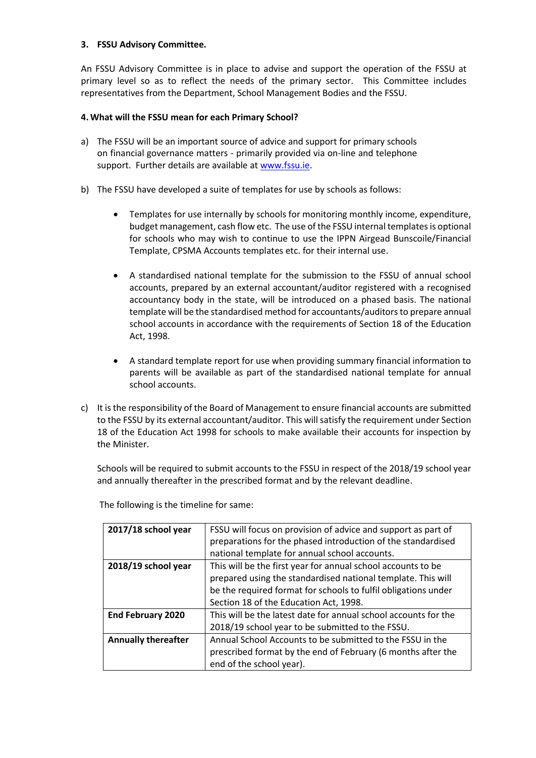### **3. FSSU Advisory Committee.**

An FSSU Advisory Committee is in place to advise and support the operation of the FSSU at primary level so as to reflect the needs of the primary sector. This Committee includes representatives from the Department, School Management Bodies and the FSSU.

### **4. What will the FSSU mean for each Primary School?**

- a) The FSSU will be an important source of advice and support for primary schools on financial governance matters - primarily provided via on-line and telephone support. Further details are available at [www.fssu.ie.](http://www.fssu.ie/)
- b) The FSSU have developed a suite of templates for use by schools as follows:
	- Templates for use internally by schools for monitoring monthly income, expenditure, budget management, cash flow etc. The use of the FSSU internal templates is optional for schools who may wish to continue to use the IPPN Airgead Bunscoile/Financial Template, CPSMA Accounts templates etc. for their internal use.
	- A standardised national template for the submission to the FSSU of annual school accounts, prepared by an external accountant/auditor registered with a recognised accountancy body in the state, will be introduced on a phased basis. The national template will be the standardised method for accountants/auditors to prepare annual school accounts in accordance with the requirements of Section 18 of the Education Act, 1998.
	- A standard template report for use when providing summary financial information to parents will be available as part of the standardised national template for annual school accounts.
- c) It is the responsibility of the Board of Management to ensure financial accounts are submitted to the FSSU by its external accountant/auditor. This will satisfy the requirement under Section 18 of the Education Act 1998 for schools to make available their accounts for inspection by the Minister.

Schools will be required to submit accounts to the FSSU in respect of the 2018/19 school year and annually thereafter in the prescribed format and by the relevant deadline.

| 2017/18 school year        | FSSU will focus on provision of advice and support as part of<br>preparations for the phased introduction of the standardised |
|----------------------------|-------------------------------------------------------------------------------------------------------------------------------|
|                            |                                                                                                                               |
|                            | national template for annual school accounts.                                                                                 |
| 2018/19 school year        | This will be the first year for annual school accounts to be                                                                  |
|                            | prepared using the standardised national template. This will                                                                  |
|                            | be the required format for schools to fulfil obligations under                                                                |
|                            | Section 18 of the Education Act, 1998.                                                                                        |
| <b>End February 2020</b>   | This will be the latest date for annual school accounts for the                                                               |
|                            | 2018/19 school year to be submitted to the FSSU.                                                                              |
| <b>Annually thereafter</b> | Annual School Accounts to be submitted to the FSSU in the                                                                     |
|                            | prescribed format by the end of February (6 months after the                                                                  |
|                            | end of the school year).                                                                                                      |

The following is the timeline for same: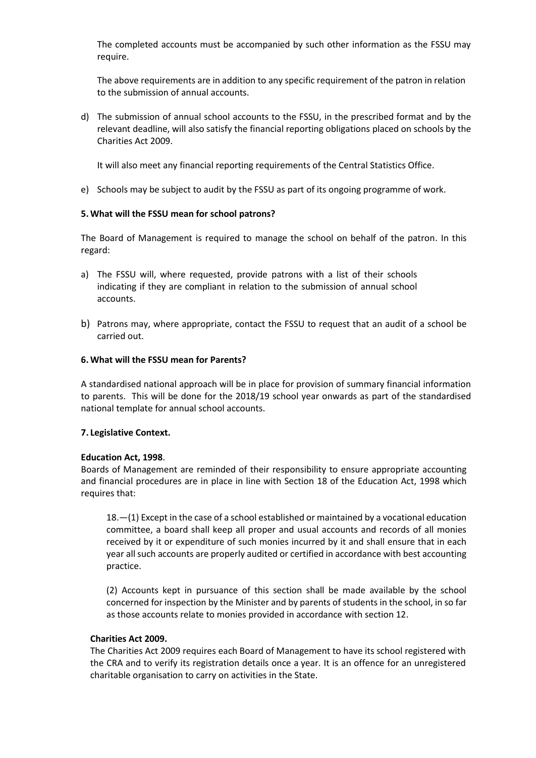The completed accounts must be accompanied by such other information as the FSSU may require.

The above requirements are in addition to any specific requirement of the patron in relation to the submission of annual accounts.

d) The submission of annual school accounts to the FSSU, in the prescribed format and by the relevant deadline, will also satisfy the financial reporting obligations placed on schools by the Charities Act 2009.

It will also meet any financial reporting requirements of the Central Statistics Office.

e) Schools may be subject to audit by the FSSU as part of its ongoing programme of work.

#### **5. What will the FSSU mean for school patrons?**

The Board of Management is required to manage the school on behalf of the patron. In this regard:

- a) The FSSU will, where requested, provide patrons with a list of their schools indicating if they are compliant in relation to the submission of annual school accounts.
- b) Patrons may, where appropriate, contact the FSSU to request that an audit of a school be carried out.

#### **6. What will the FSSU mean for Parents?**

A standardised national approach will be in place for provision of summary financial information to parents. This will be done for the 2018/19 school year onwards as part of the standardised national template for annual school accounts.

#### **7. Legislative Context.**

#### **Education Act, 1998**.

Boards of Management are reminded of their responsibility to ensure appropriate accounting and financial procedures are in place in line with Section 18 of the Education Act, 1998 which requires that:

18.—(1) Except in the case of a school established or maintained by a vocational education committee, a board shall keep all proper and usual accounts and records of all monies received by it or expenditure of such monies incurred by it and shall ensure that in each year all such accounts are properly audited or certified in accordance with best accounting practice.

(2) Accounts kept in pursuance of this section shall be made available by the school concerned for inspection by the Minister and by parents of students in the school, in so far as those accounts relate to monies provided in accordance wit[h section 12.](http://www.irishstatutebook.ie/1998/en/act/pub/0051/sec0012.html#sec12)

#### **Charities Act 2009.**

The Charities Act 2009 requires each Board of Management to have its school registered with the CRA and to verify its registration details once a year. It is an offence for an unregistered charitable organisation to carry on activities in the State.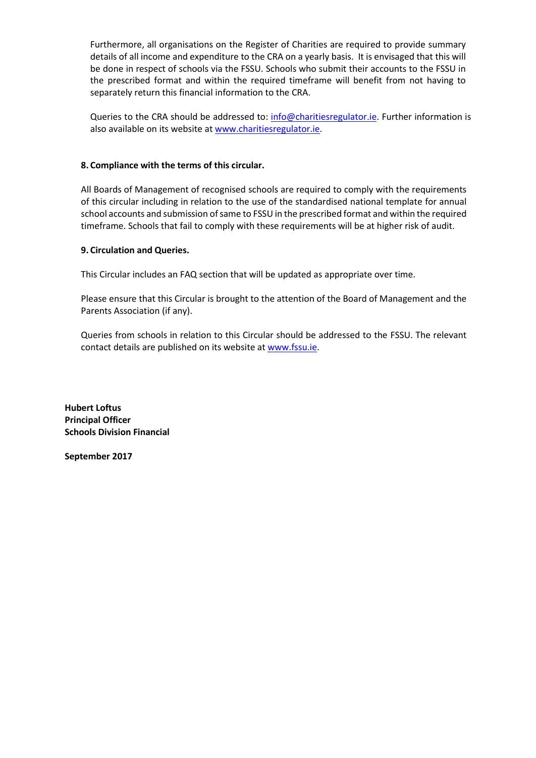Furthermore, all organisations on the Register of Charities are required to provide summary details of all income and expenditure to the CRA on a yearly basis. It is envisaged that this will be done in respect of schools via the FSSU. Schools who submit their accounts to the FSSU in the prescribed format and within the required timeframe will benefit from not having to separately return this financial information to the CRA.

Queries to the CRA should be addressed to: [info@charitiesregulator.ie.](mailto:info@charitiesregulator.ie) Further information is also available on its website at [www.charitiesregulator.ie.](http://www.charitiesregulator.ie/)

## **8. Compliance with the terms of this circular.**

All Boards of Management of recognised schools are required to comply with the requirements of this circular including in relation to the use of the standardised national template for annual school accounts and submission of same to FSSU in the prescribed format and within the required timeframe. Schools that fail to comply with these requirements will be at higher risk of audit.

#### **9. Circulation and Queries.**

This Circular includes an FAQ section that will be updated as appropriate over time.

Please ensure that this Circular is brought to the attention of the Board of Management and the Parents Association (if any).

Queries from schools in relation to this Circular should be addressed to the FSSU. The relevant contact details are published on its website a[t www.fssu.ie.](http://www.fssu.ie/)

**Hubert Loftus Principal Officer Schools Division Financial**

**September 2017**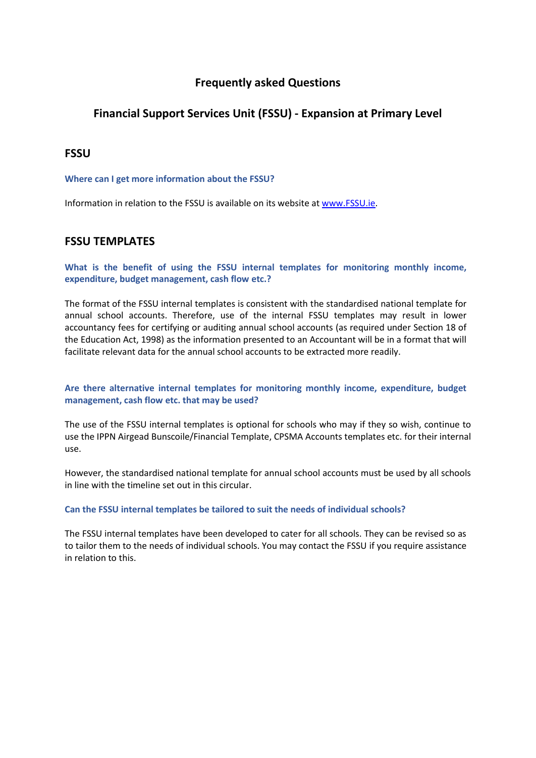# **Frequently asked Questions**

# **Financial Support Services Unit (FSSU) - Expansion at Primary Level**

## **FSSU**

#### **Where can I get more information about the FSSU?**

Information in relation to the FSSU is available on its website a[t www.FSSU.ie.](http://www.fssu.ie/)

## **FSSU TEMPLATES**

**What is the benefit of using the FSSU internal templates for monitoring monthly income, expenditure, budget management, cash flow etc.?**

The format of the FSSU internal templates is consistent with the standardised national template for annual school accounts. Therefore, use of the internal FSSU templates may result in lower accountancy fees for certifying or auditing annual school accounts (as required under Section 18 of the Education Act, 1998) as the information presented to an Accountant will be in a format that will facilitate relevant data for the annual school accounts to be extracted more readily.

### **Are there alternative internal templates for monitoring monthly income, expenditure, budget management, cash flow etc. that may be used?**

The use of the FSSU internal templates is optional for schools who may if they so wish, continue to use the IPPN Airgead Bunscoile/Financial Template, CPSMA Accounts templates etc. for their internal use.

However, the standardised national template for annual school accounts must be used by all schools in line with the timeline set out in this circular.

#### **Can the FSSU internal templates be tailored to suit the needs of individual schools?**

The FSSU internal templates have been developed to cater for all schools. They can be revised so as to tailor them to the needs of individual schools. You may contact the FSSU if you require assistance in relation to this.